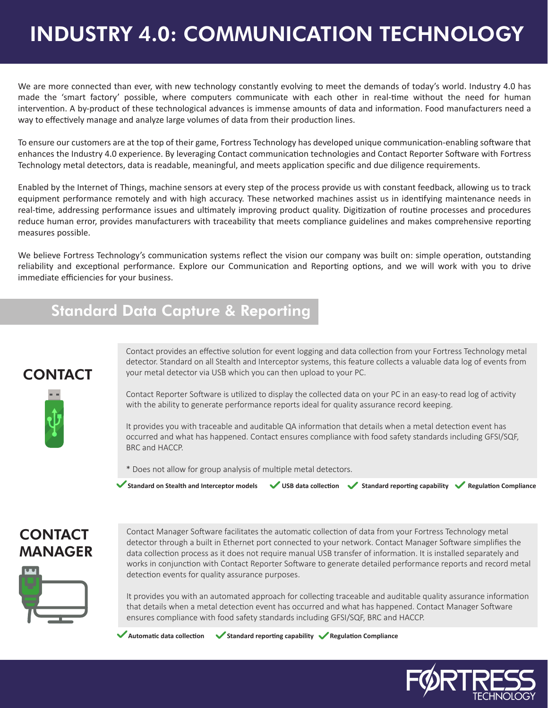## INDUSTRY 4.0: COMMUNICATION TECHNOLOGY

We are more connected than ever, with new technology constantly evolving to meet the demands of today's world. Industry 4.0 has made the 'smart factory' possible, where computers communicate with each other in real-time without the need for human intervention. A by-product of these technological advances is immense amounts of data and information. Food manufacturers need a way to effectively manage and analyze large volumes of data from their production lines.

To ensure our customers are at the top of their game, Fortress Technology has developed unique communication-enabling software that enhances the Industry 4.0 experience. By leveraging Contact communication technologies and Contact Reporter Software with Fortress Technology metal detectors, data is readable, meaningful, and meets application specific and due diligence requirements.

Enabled by the Internet of Things, machine sensors at every step of the process provide us with constant feedback, allowing us to track equipment performance remotely and with high accuracy. These networked machines assist us in iden�fying maintenance needs in real-time, addressing performance issues and ultimately improving product quality. Digitization of routine processes and procedures reduce human error, provides manufacturers with traceability that meets compliance guidelines and makes comprehensive reporting measures possible.

We believe Fortress Technology's communication systems reflect the vision our company was built on: simple operation, outstanding reliability and exceptional performance. Explore our Communication and Reporting options, and we will work with you to drive immediate efficiencies for your business.

### Standard Data Capture & Reporting





Contact provides an effective solution for event logging and data collection from your Fortress Technology metal detector. Standard on all Stealth and Interceptor systems, this feature collects a valuable data log of events from your metal detector via USB which you can then upload to your PC.

Contact Reporter Software is utilized to display the collected data on your PC in an easy-to read log of activity with the ability to generate performance reports ideal for quality assurance record keeping.

It provides you with traceable and auditable QA information that details when a metal detection event has occurred and what has happened. Contact ensures compliance with food safety standards including GFSI/SQF, BRC and HACCP.

\* Does not allow for group analysis of mul�ple metal detectors.







It provides you with an automated approach for collecting traceable and auditable quality assurance information that details when a metal detection event has occurred and what has happened. Contact Manager Software ensures compliance with food safety standards including GFSI/SQF, BRC and HACCP.

Automatic data collection **Standard reporting capability Regulation Compliance**